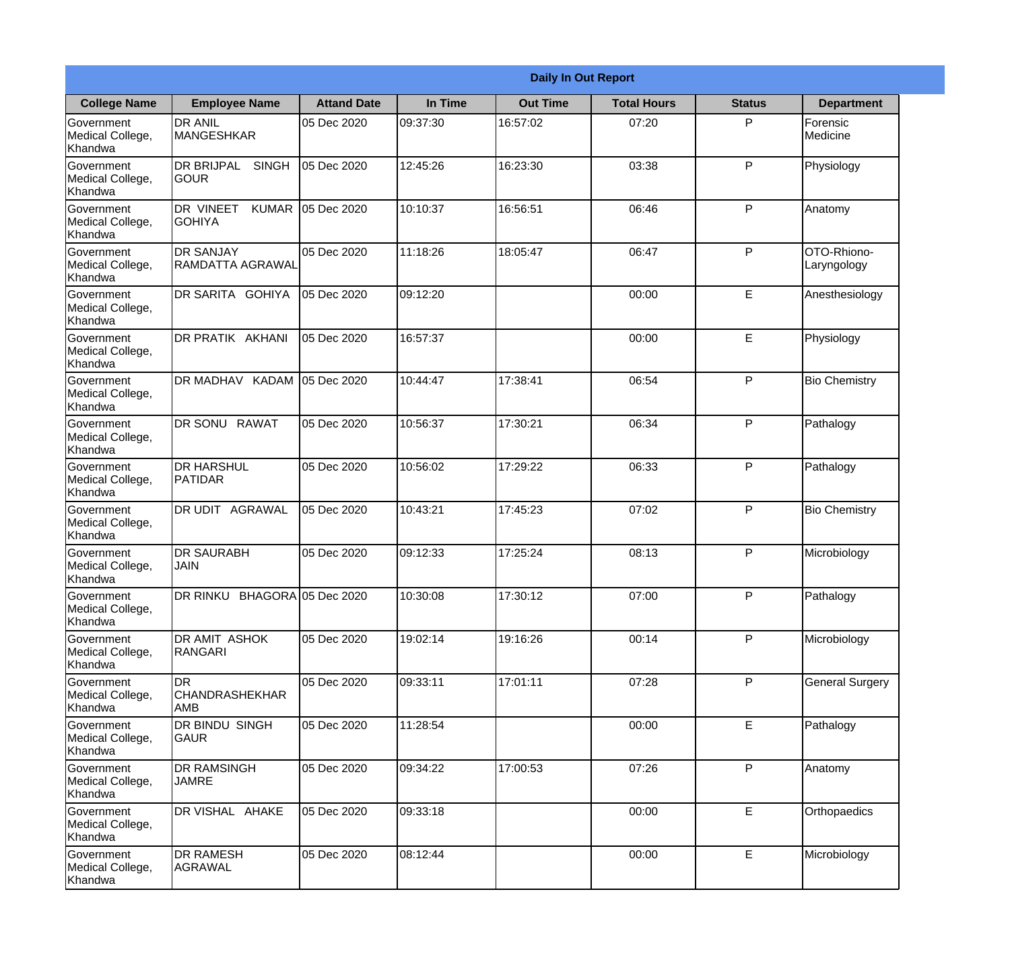|                                           | <b>Daily In Out Report</b>                 |                    |          |                 |                    |               |                            |
|-------------------------------------------|--------------------------------------------|--------------------|----------|-----------------|--------------------|---------------|----------------------------|
| <b>College Name</b>                       | <b>Employee Name</b>                       | <b>Attand Date</b> | In Time  | <b>Out Time</b> | <b>Total Hours</b> | <b>Status</b> | <b>Department</b>          |
| Government<br>Medical College,<br>Khandwa | <b>DR ANIL</b><br><b>MANGESHKAR</b>        | 05 Dec 2020        | 09:37:30 | 16:57:02        | 07:20              | P             | Forensic<br>Medicine       |
| Government<br>Medical College,<br>Khandwa | DR BRIJPAL<br><b>SINGH</b><br><b>GOUR</b>  | 05 Dec 2020        | 12:45:26 | 16:23:30        | 03:38              | P             | Physiology                 |
| Government<br>Medical College,<br>Khandwa | DR VINEET<br><b>KUMAR</b><br><b>GOHIYA</b> | 05 Dec 2020        | 10:10:37 | 16:56:51        | 06:46              | P             | Anatomy                    |
| Government<br>Medical College,<br>Khandwa | <b>DR SANJAY</b><br>RAMDATTA AGRAWAL       | 05 Dec 2020        | 11:18:26 | 18:05:47        | 06:47              | P             | OTO-Rhiono-<br>Laryngology |
| Government<br>Medical College,<br>Khandwa | DR SARITA GOHIYA                           | 05 Dec 2020        | 09:12:20 |                 | 00:00              | E             | Anesthesiology             |
| Government<br>Medical College,<br>Khandwa | DR PRATIK AKHANI                           | 05 Dec 2020        | 16:57:37 |                 | 00:00              | E             | Physiology                 |
| Government<br>Medical College,<br>Khandwa | DR MADHAV KADAM                            | 05 Dec 2020        | 10:44:47 | 17:38:41        | 06:54              | P             | <b>Bio Chemistry</b>       |
| Government<br>Medical College,<br>Khandwa | DR SONU RAWAT                              | 05 Dec 2020        | 10:56:37 | 17:30:21        | 06:34              | P             | Pathalogy                  |
| Government<br>Medical College,<br>Khandwa | <b>DR HARSHUL</b><br>PATIDAR               | 05 Dec 2020        | 10:56:02 | 17:29:22        | 06:33              | P             | Pathalogy                  |
| Government<br>Medical College,<br>Khandwa | DR UDIT AGRAWAL                            | 05 Dec 2020        | 10:43:21 | 17:45:23        | 07:02              | P             | <b>Bio Chemistry</b>       |
| Government<br>Medical College,<br>Khandwa | <b>DR SAURABH</b><br><b>JAIN</b>           | 05 Dec 2020        | 09:12:33 | 17:25:24        | 08:13              | $\mathsf{P}$  | Microbiology               |
| Government<br>Medical College,<br>Khandwa | DR RINKU BHAGORA 05 Dec 2020               |                    | 10:30:08 | 17:30:12        | 07:00              | P             | Pathalogy                  |
| Government<br>Medical College,<br>Khandwa | DR AMIT ASHOK<br><b>RANGARI</b>            | 05 Dec 2020        | 19:02:14 | 19:16:26        | 00:14              | P             | Microbiology               |
| Government<br>Medical College,<br>Khandwa | DR<br><b>CHANDRASHEKHAR</b><br>AMB         | 05 Dec 2020        | 09:33:11 | 17:01:11        | 07:28              | $\mathsf{P}$  | <b>General Surgery</b>     |
| Government<br>Medical College,<br>Khandwa | DR BINDU SINGH<br>GAUR                     | 05 Dec 2020        | 11:28:54 |                 | 00:00              | E             | Pathalogy                  |
| Government<br>Medical College,<br>Khandwa | DR RAMSINGH<br><b>JAMRE</b>                | 05 Dec 2020        | 09:34:22 | 17:00:53        | 07:26              | P             | Anatomy                    |
| Government<br>Medical College,<br>Khandwa | DR VISHAL AHAKE                            | 05 Dec 2020        | 09:33:18 |                 | 00:00              | E             | Orthopaedics               |
| Government<br>Medical College,<br>Khandwa | <b>DR RAMESH</b><br><b>AGRAWAL</b>         | 05 Dec 2020        | 08:12:44 |                 | 00:00              | E             | Microbiology               |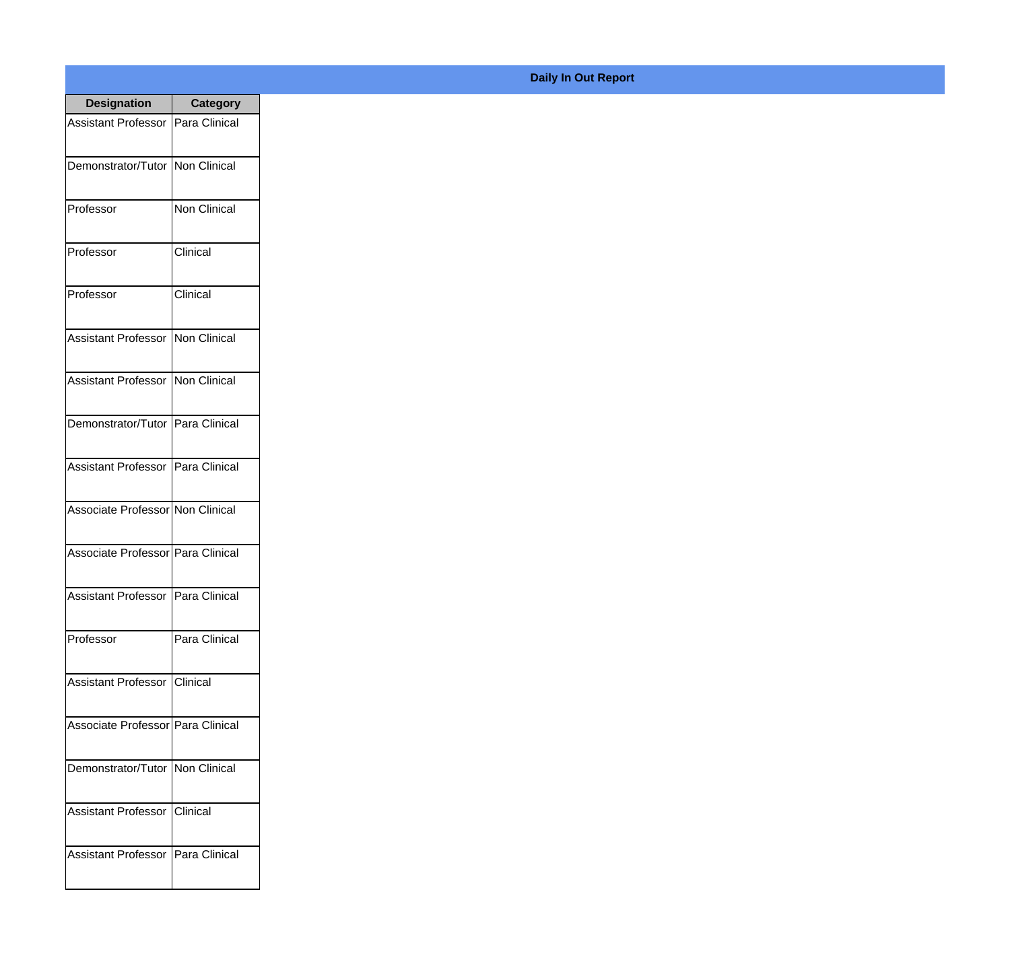| <b>Designation</b>                  | <b>Category</b>     |
|-------------------------------------|---------------------|
| <b>Assistant Professor</b>          | Para Clinical       |
| Demonstrator/Tutor                  | Non Clinical        |
| Professor                           | <b>Non Clinical</b> |
| Professor                           | Clinical            |
| Professor                           | Clinical            |
| <b>Assistant Professor</b>          | Non Clinical        |
| <b>Assistant Professor</b>          | Non Clinical        |
| Demonstrator/Tutor                  | Para Clinical       |
| <b>Assistant Professor</b>          | Para Clinical       |
| Associate Professor Non Clinical    |                     |
| Associate Professor   Para Clinical |                     |
| Assistant Professor   Para Clinical |                     |
| Professor                           | Para Clinical       |
| Assistant Professor Clinical        |                     |
| Associate Professor   Para Clinical |                     |
| Demonstrator/Tutor   Non Clinical   |                     |
| <b>Assistant Professor</b>          | Clinical            |
| Assistant Professor   Para Clinical |                     |

## **Daily In Out Report**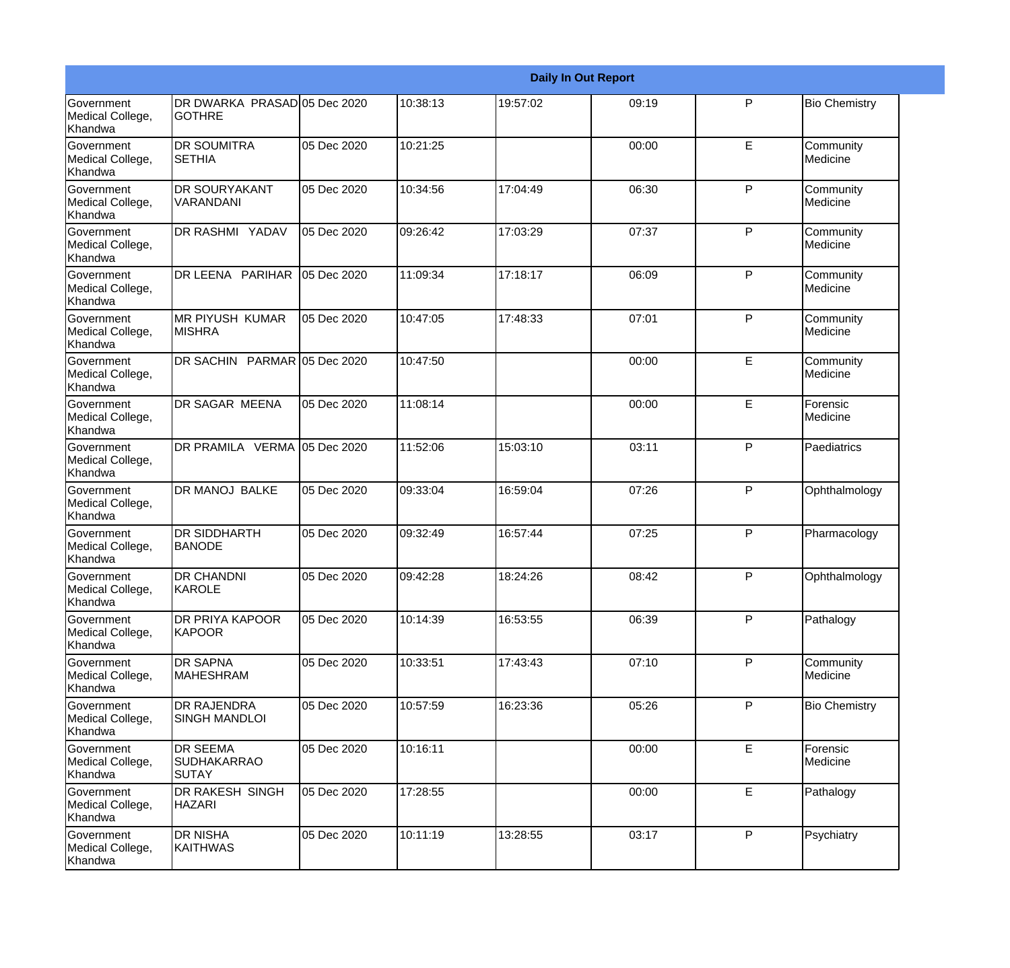|                                                  |                                               |             |          |          | <b>Daily In Out Report</b> |              |                       |
|--------------------------------------------------|-----------------------------------------------|-------------|----------|----------|----------------------------|--------------|-----------------------|
| <b>Government</b><br>Medical College,<br>Khandwa | DR DWARKA PRASAD 05 Dec 2020<br><b>GOTHRE</b> |             | 10:38:13 | 19:57:02 | 09:19                      | P            | <b>Bio Chemistry</b>  |
| Government<br>Medical College,<br>Khandwa        | <b>DR SOUMITRA</b><br><b>I</b> SETHIA         | 05 Dec 2020 | 10:21:25 |          | 00:00                      | E            | Community<br>Medicine |
| <b>Government</b><br>Medical College,<br>Khandwa | <b>DR SOURYAKANT</b><br>VARANDANI             | 05 Dec 2020 | 10:34:56 | 17:04:49 | 06:30                      | $\mathsf{P}$ | Community<br>Medicine |
| <b>Government</b><br>Medical College,<br>Khandwa | DR RASHMI YADAV                               | 05 Dec 2020 | 09:26:42 | 17:03:29 | 07:37                      | $\mathsf{P}$ | Community<br>Medicine |
| <b>Government</b><br>Medical College,<br>Khandwa | DR LEENA PARIHAR                              | 05 Dec 2020 | 11:09:34 | 17:18:17 | 06:09                      | $\mathsf{P}$ | Community<br>Medicine |
| Government<br>Medical College,<br>Khandwa        | <b>MR PIYUSH KUMAR</b><br><b>MISHRA</b>       | 05 Dec 2020 | 10:47:05 | 17:48:33 | 07:01                      | $\mathsf{P}$ | Community<br>Medicine |
| <b>Government</b><br>Medical College,<br>Khandwa | DR SACHIN PARMAR 05 Dec 2020                  |             | 10:47:50 |          | 00:00                      | E            | Community<br>Medicine |
| <b>Government</b><br>Medical College,<br>Khandwa | DR SAGAR MEENA                                | 05 Dec 2020 | 11:08:14 |          | 00:00                      | E            | Forensic<br>Medicine  |
| Government<br>Medical College,<br>Khandwa        | DR PRAMILA VERMA 05 Dec 2020                  |             | 11:52:06 | 15:03:10 | 03:11                      | P            | Paediatrics           |
| <b>Government</b><br>Medical College,<br>Khandwa | <b>DR MANOJ BALKE</b>                         | 05 Dec 2020 | 09:33:04 | 16:59:04 | 07:26                      | $\mathsf{P}$ | Ophthalmology         |
| <b>Government</b><br>Medical College,<br>Khandwa | <b>DR SIDDHARTH</b><br><b>BANODE</b>          | 05 Dec 2020 | 09:32:49 | 16:57:44 | 07:25                      | P            | Pharmacology          |
| Government<br>Medical College,<br>Khandwa        | <b>DR CHANDNI</b><br>KAROLE                   | 05 Dec 2020 | 09:42:28 | 18:24:26 | 08:42                      | P            | Ophthalmology         |
| Government<br>Medical College,<br>Khandwa        | DR PRIYA KAPOOR<br><b>KAPOOR</b>              | 05 Dec 2020 | 10:14:39 | 16:53:55 | 06:39                      | P            | Pathalogy             |
| <b>Government</b><br>Medical College,<br>Khandwa | DR SAPNA<br><b>MAHESHRAM</b>                  | 05 Dec 2020 | 10:33:51 | 17:43:43 | 07:10                      | P            | Community<br>Medicine |
| Government<br>Medical College,<br>Khandwa        | <b>DR RAJENDRA</b><br><b>SINGH MANDLOI</b>    | 05 Dec 2020 | 10:57:59 | 16:23:36 | 05:26                      | P            | <b>Bio Chemistry</b>  |
| Government<br>Medical College,<br>Khandwa        | DR SEEMA<br><b>SUDHAKARRAO</b><br>SUTAY       | 05 Dec 2020 | 10:16:11 |          | 00:00                      | E            | Forensic<br>Medicine  |
| Government<br>Medical College,<br>Khandwa        | DR RAKESH SINGH<br><b>HAZARI</b>              | 05 Dec 2020 | 17:28:55 |          | 00:00                      | E            | Pathalogy             |
| Government<br>Medical College,<br>Khandwa        | <b>DR NISHA</b><br><b>KAITHWAS</b>            | 05 Dec 2020 | 10:11:19 | 13:28:55 | 03:17                      | P            | Psychiatry            |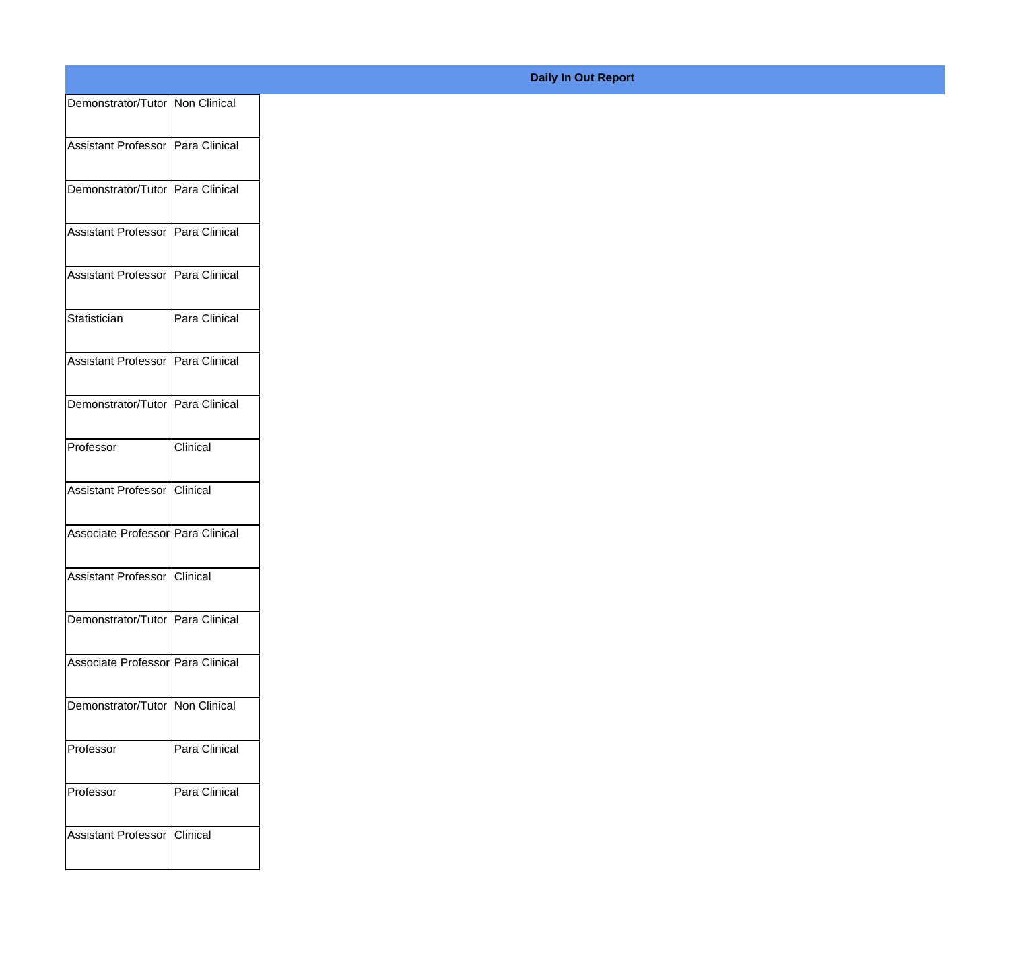| Demonstrator/Tutor Non Clinical    |               |
|------------------------------------|---------------|
| Assistant Professor Para Clinical  |               |
| Demonstrator/Tutor Para Clinical   |               |
| Assistant Professor Para Clinical  |               |
|                                    |               |
| Assistant Professor Para Clinical  |               |
| Statistician                       | Para Clinical |
| Assistant Professor Para Clinical  |               |
| Demonstrator/Tutor Para Clinical   |               |
| Professor                          | Clinical      |
| Assistant Professor Clinical       |               |
| Associate Professor Para Clinical  |               |
| Assistant Professor Clinical       |               |
| Demonstrator/Tutor   Para Clinical |               |
| Associate Professor Para Clinical  |               |
| Demonstrator/Tutor   Non Clinical  |               |
| Professor                          | Para Clinical |
| Professor                          | Para Clinical |
| Assistant Professor Clinical       |               |
|                                    |               |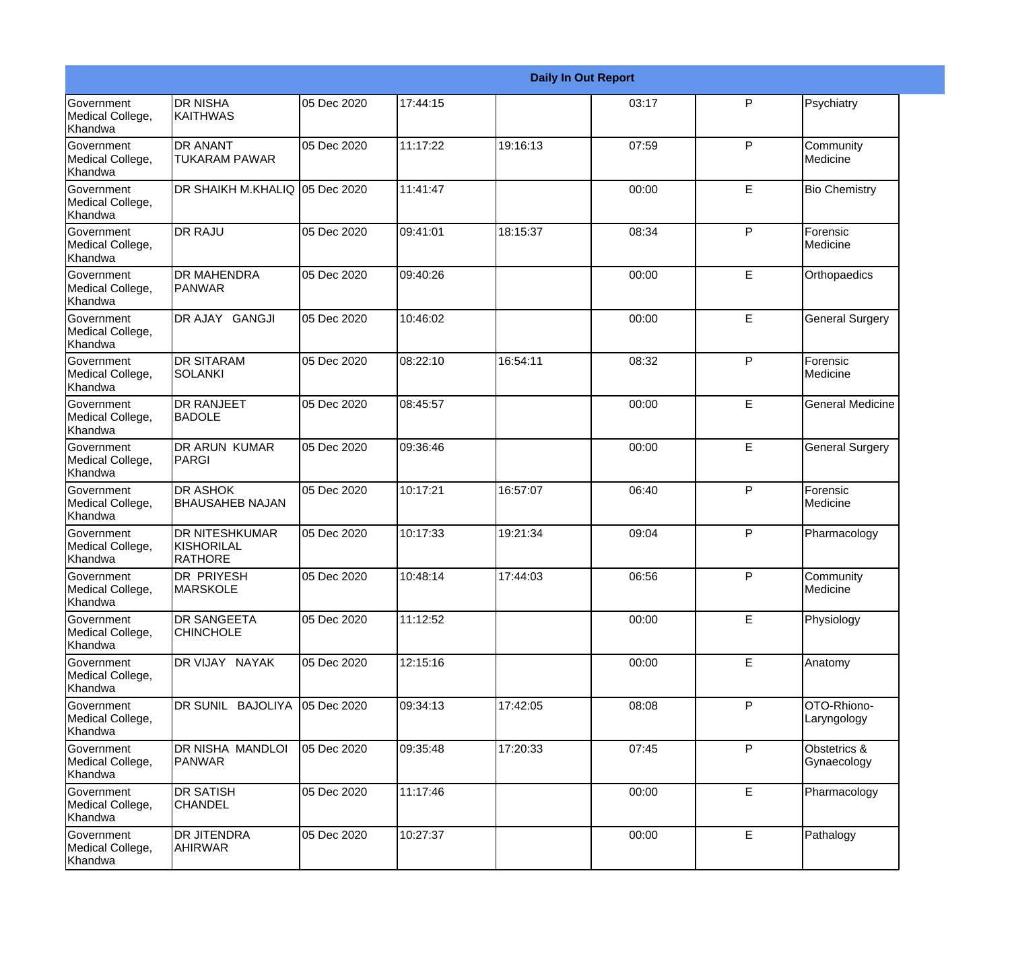|                                                  |                                                       |             |          |          | <b>Daily In Out Report</b> |              |                             |
|--------------------------------------------------|-------------------------------------------------------|-------------|----------|----------|----------------------------|--------------|-----------------------------|
| <b>Government</b><br>Medical College,<br>Khandwa | <b>DR NISHA</b><br>KAITHWAS                           | 05 Dec 2020 | 17:44:15 |          | 03:17                      | P            | Psychiatry                  |
| Government<br>Medical College,<br>Khandwa        | <b>DR ANANT</b><br><b>TUKARAM PAWAR</b>               | 05 Dec 2020 | 11:17:22 | 19:16:13 | 07:59                      | $\mathsf{P}$ | Community<br>Medicine       |
| <b>Government</b><br>Medical College,<br>Khandwa | DR SHAIKH M.KHALIQ 05 Dec 2020                        |             | 11:41:47 |          | 00:00                      | E            | <b>Bio Chemistry</b>        |
| Government<br>Medical College,<br>Khandwa        | <b>DR RAJU</b>                                        | 05 Dec 2020 | 09:41:01 | 18:15:37 | 08:34                      | $\mathsf{P}$ | Forensic<br>Medicine        |
| <b>Government</b><br>Medical College,<br>Khandwa | DR MAHENDRA<br><b>PANWAR</b>                          | 05 Dec 2020 | 09:40:26 |          | 00:00                      | E            | Orthopaedics                |
| Government<br>Medical College,<br>Khandwa        | DR AJAY GANGJI                                        | 05 Dec 2020 | 10:46:02 |          | 00:00                      | E            | <b>General Surgery</b>      |
| <b>Government</b><br>Medical College,<br>Khandwa | <b>DR SITARAM</b><br>ISOLANKI                         | 05 Dec 2020 | 08:22:10 | 16:54:11 | 08:32                      | $\mathsf{P}$ | Forensic<br>Medicine        |
| <b>Government</b><br>Medical College,<br>Khandwa | <b>DR RANJEET</b><br><b>BADOLE</b>                    | 05 Dec 2020 | 08:45:57 |          | 00:00                      | E            | <b>General Medicine</b>     |
| Government<br>Medical College,<br>Khandwa        | <b>DR ARUN KUMAR</b><br>PARGI                         | 05 Dec 2020 | 09:36:46 |          | 00:00                      | E            | <b>General Surgery</b>      |
| Government<br>Medical College,<br>Khandwa        | <b>DR ASHOK</b><br><b>BHAUSAHEB NAJAN</b>             | 05 Dec 2020 | 10:17:21 | 16:57:07 | 06:40                      | $\mathsf{P}$ | Forensic<br>Medicine        |
| <b>Government</b><br>Medical College,<br>Khandwa | <b>DR NITESHKUMAR</b><br>KISHORILAL<br><b>RATHORE</b> | 05 Dec 2020 | 10:17:33 | 19:21:34 | 09:04                      | P            | Pharmacology                |
| Government<br>Medical College,<br>Khandwa        | <b>DR PRIYESH</b><br><b>MARSKOLE</b>                  | 05 Dec 2020 | 10:48:14 | 17:44:03 | 06:56                      | P            | Community<br>Medicine       |
| Government<br>Medical College,<br>Khandwa        | <b>DR SANGEETA</b><br><b>CHINCHOLE</b>                | 05 Dec 2020 | 11:12:52 |          | 00:00                      | E            | Physiology                  |
| Government<br>Medical College,<br>Khandwa        | DR VIJAY NAYAK                                        | 05 Dec 2020 | 12:15:16 |          | 00:00                      | E            | Anatomy                     |
| Government<br>Medical College,<br>Khandwa        | DR SUNIL BAJOLIYA                                     | 05 Dec 2020 | 09:34:13 | 17:42:05 | 08:08                      | $\mathsf{P}$ | OTO-Rhiono-<br>Laryngology  |
| Government<br>Medical College,<br>Khandwa        | DR NISHA MANDLOI<br>PANWAR                            | 05 Dec 2020 | 09:35:48 | 17:20:33 | 07:45                      | $\mathsf{P}$ | Obstetrics &<br>Gynaecology |
| Government<br>Medical College,<br>Khandwa        | <b>DR SATISH</b><br><b>CHANDEL</b>                    | 05 Dec 2020 | 11:17:46 |          | 00:00                      | E            | Pharmacology                |
| Government<br>Medical College,<br>Khandwa        | DR JITENDRA<br><b>AHIRWAR</b>                         | 05 Dec 2020 | 10:27:37 |          | 00:00                      | E            | Pathalogy                   |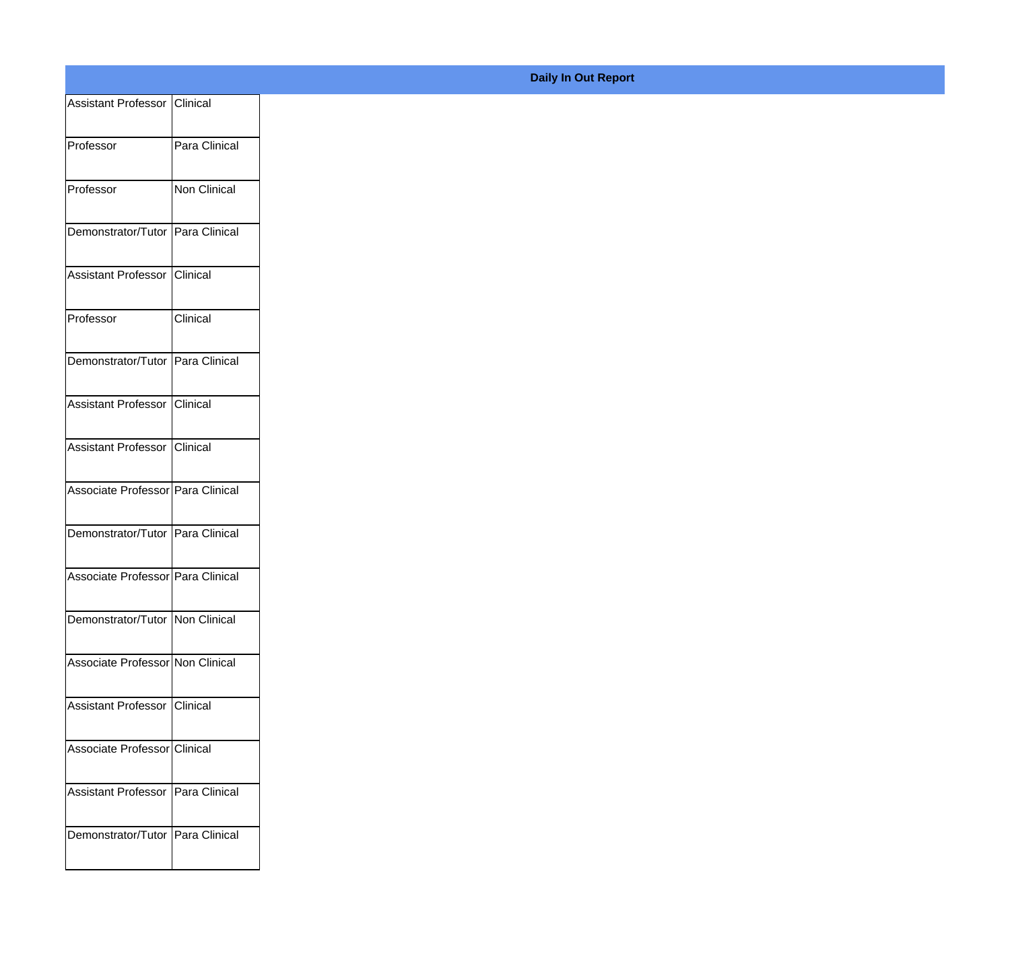|                                     |               | <b>Daily In Out Report</b> |
|-------------------------------------|---------------|----------------------------|
| Assistant Professor Clinical        |               |                            |
| Professor                           | Para Clinical |                            |
| Professor                           | Non Clinical  |                            |
| Demonstrator/Tutor Para Clinical    |               |                            |
| Assistant Professor                 | Clinical      |                            |
| Professor                           | Clinical      |                            |
| Demonstrator/Tutor Para Clinical    |               |                            |
| Assistant Professor Clinical        |               |                            |
| Assistant Professor                 | Clinical      |                            |
| Associate Professor Para Clinical   |               |                            |
| Demonstrator/Tutor Para Clinical    |               |                            |
| Associate Professor   Para Clinical |               |                            |
| Demonstrator/Tutor   Non Clinical   |               |                            |
| Associate Professor Non Clinical    |               |                            |
| Assistant Professor   Clinical      |               |                            |
| Associate Professor Clinical        |               |                            |
| Assistant Professor   Para Clinical |               |                            |
|                                     |               |                            |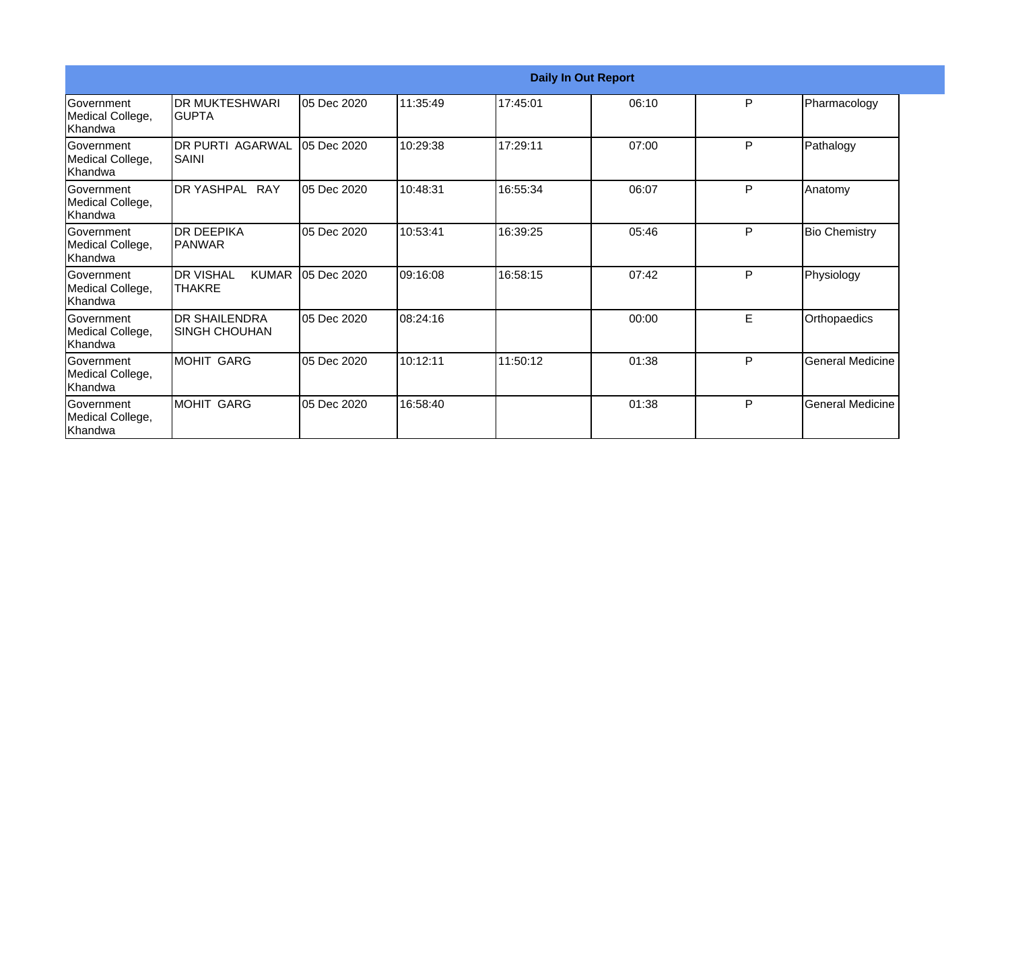|                                                   |                                                |             |           | <b>Daily In Out Report</b> |       |   |                         |
|---------------------------------------------------|------------------------------------------------|-------------|-----------|----------------------------|-------|---|-------------------------|
| Government<br>Medical College,<br>lKhandwa        | <b>DR MUKTESHWARI</b><br><b>GUPTA</b>          | 05 Dec 2020 | 11:35:49  | 17:45:01                   | 06:10 | P | Pharmacology            |
| Government<br>Medical College,<br>Khandwa         | <b>DR PURTI AGARWAL</b><br>ISAINI              | 05 Dec 2020 | 10:29:38  | 17:29:11                   | 07:00 | P | Pathalogy               |
| Government<br>Medical College,<br>Khandwa         | DR YASHPAL RAY                                 | 05 Dec 2020 | 10:48:31  | 16:55:34                   | 06:07 | P | Anatomy                 |
| <b>Government</b><br>Medical College,<br>lKhandwa | IDR DEEPIKA<br><b>PANWAR</b>                   | 05 Dec 2020 | 10:53:41  | 16:39:25                   | 05:46 | P | <b>Bio Chemistry</b>    |
| Government<br>Medical College,<br>Khandwa         | <b>DR VISHAL</b><br><b>KUMAR</b><br>lthakre    | 05 Dec 2020 | 09:16:08  | 16:58:15                   | 07:42 | P | Physiology              |
| Government<br>Medical College,<br>Khandwa         | <b>IDR SHAILENDRA</b><br><b>ISINGH CHOUHAN</b> | 05 Dec 2020 | 108:24:16 |                            | 00:00 | E | Orthopaedics            |
| Government<br>Medical College,<br>Khandwa         | MOHIT GARG                                     | 05 Dec 2020 | 10:12:11  | 11:50:12                   | 01:38 | P | <b>General Medicine</b> |
| Government<br>Medical College,<br>Khandwa         | MOHIT GARG                                     | 05 Dec 2020 | 16:58:40  |                            | 01:38 | P | <b>General Medicine</b> |